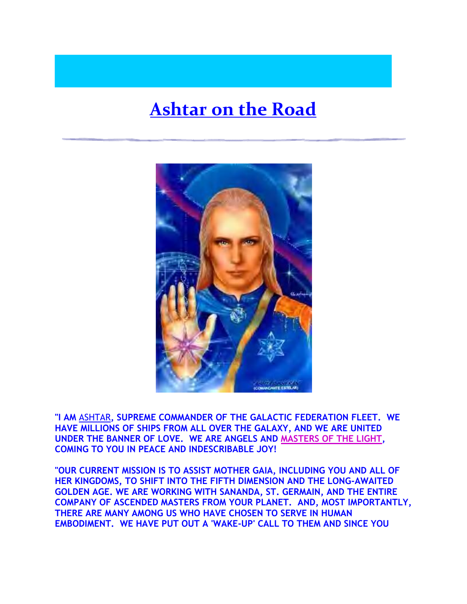## **[Ashtar on the Road](http://www.ashtarontheroad.com/)**



**"I AM** [ASHTAR](http://www.ashtarontheroad.com/)**, SUPREME COMMANDER OF THE GALACTIC FEDERATION FLEET. WE HAVE MILLIONS OF SHIPS FROM ALL OVER THE GALAXY, AND WE ARE UNITED UNDER THE BANNER OF LOVE. WE ARE ANGELS AND [MASTERS OF THE](http://www.ashtarontheroad.com/themasters.html) LIGHT, COMING TO YOU IN PEACE AND INDESCRIBABLE JOY!**

**"OUR CURRENT MISSION IS TO ASSIST MOTHER GAIA, INCLUDING YOU AND ALL OF HER KINGDOMS, TO SHIFT INTO THE FIFTH DIMENSION AND THE LONG-AWAITED GOLDEN AGE. WE ARE WORKING WITH SANANDA, ST. GERMAIN, AND THE ENTIRE COMPANY OF ASCENDED MASTERS FROM YOUR PLANET. AND, MOST IMPORTANTLY, THERE ARE MANY AMONG US WHO HAVE CHOSEN TO SERVE IN HUMAN EMBODIMENT. WE HAVE PUT OUT A 'WAKE-UP' CALL TO THEM AND SINCE YOU**